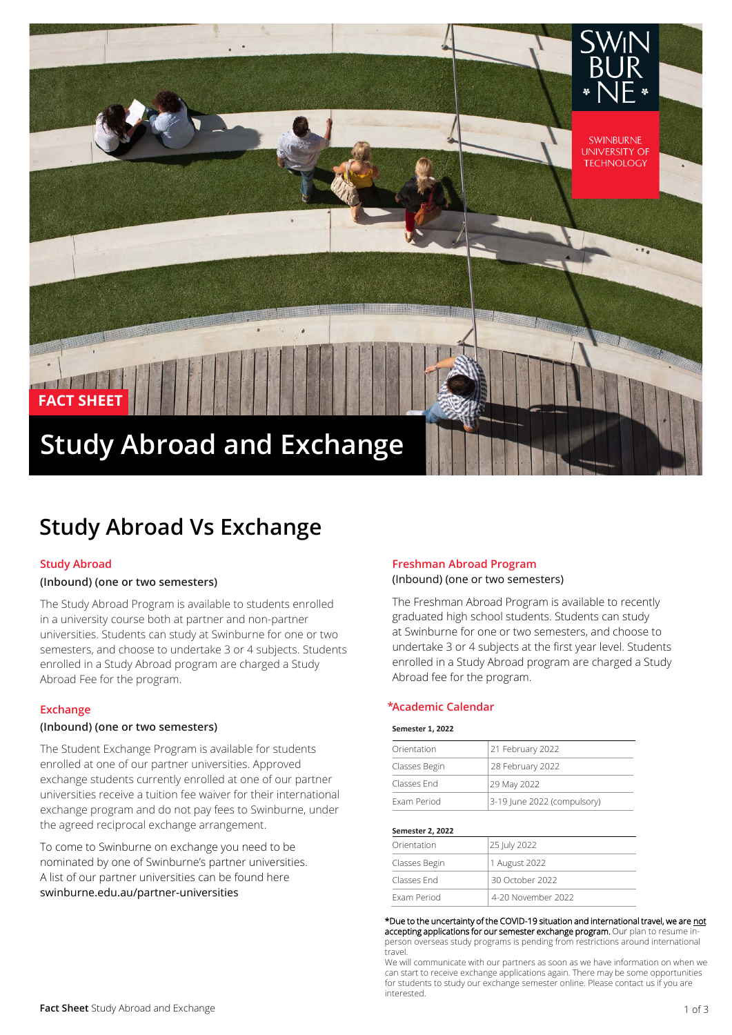

## **Study Abroad Vs Exchange**

#### **Study Abroad**

#### **(Inbound) (one or two semesters)**

The Study Abroad Program is available to students enrolled in a university course both at partner and non-partner universities. Students can study at Swinburne for one or two semesters, and choose to undertake 3 or 4 subjects. Students enrolled in a Study Abroad program are charged a Study Abroad Fee for the program.

#### **Exchange**

#### **(Inbound) (one or two semesters)**

The Student Exchange Program is available for students enrolled at one of our partner universities. Approved exchange students currently enrolled at one of our partner universities receive a tuition fee waiver for their international exchange program and do not pay fees to Swinburne, under the agreed reciprocal exchange arrangement.

To come to Swinburne on exchange you need to be nominated by one of Swinburne's partner universities. A list of our partner universities can be found here [swinburne.edu.au/partner-universities](http://www.swinburne.edu.au/partner-universities) 

#### **Freshman Abroad Program** (Inbound) (one or two semesters)

The Freshman Abroad Program is available to recently graduated high school students. Students can study at Swinburne for one or two semesters, and choose to undertake 3 or 4 subjects at the first year level. Students enrolled in a Study Abroad program are charged a Study Abroad fee for the program.

#### **Academic Calendar \***

#### **Semester 1, 2022**

| Orientation   | 21 February 2022            |
|---------------|-----------------------------|
| Classes Begin | 28 February 2022            |
| Classes End   | 29 May 2022                 |
| Exam Period   | 3-19 June 2022 (compulsory) |

#### **Semester 2, 2022**

| Orientation   | 25 July 2022       |  |
|---------------|--------------------|--|
| Classes Begin | 1 August 2022      |  |
| Classes End   | 30 October 2022    |  |
| Exam Period   | 4-20 November 2022 |  |

#### \*Due to the uncertainty of the COVID-19 situation and international travel, we are not

accepting applications for our semester exchange program. Our plan to resume inperson overseas study programs is pending from restrictions around international travel.

We will communicate with our partners as soon as we have information on when we can start to receive exchange applications again. There may be some opportunities for students to study our exchange semester online. Please contact us if you are interested.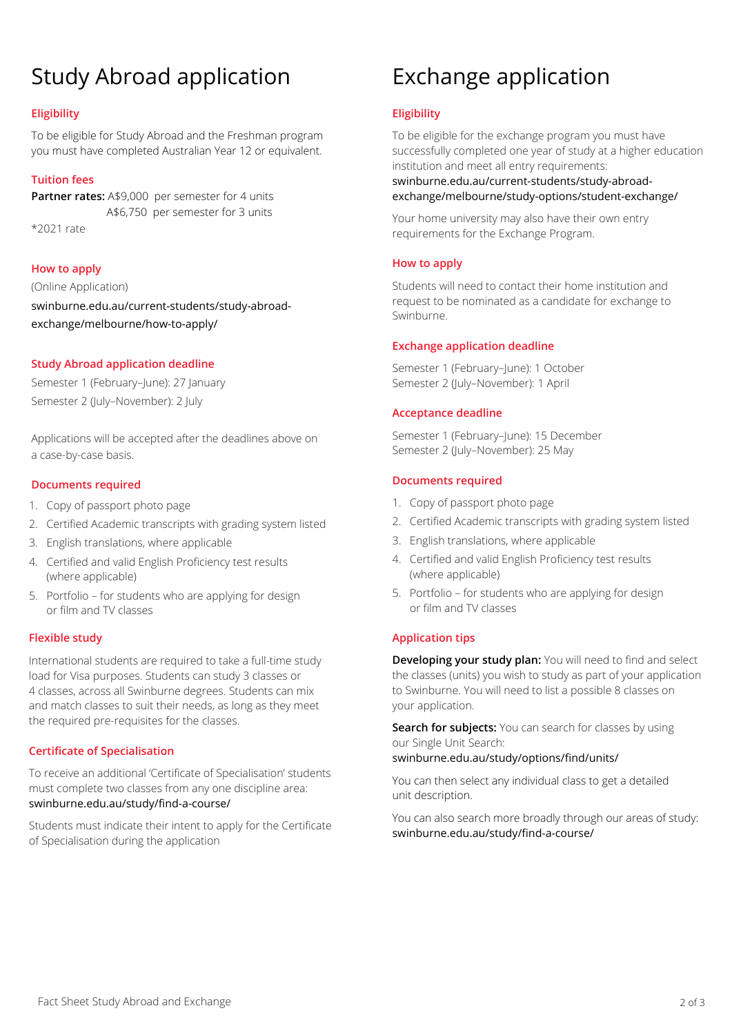# Study Abroad application

## **Eligibility**

To be eligible for Study Abroad and the Freshman program you must have completed Australian Year 12 or equivalent.

## **Tuition fees**

**Partner rates:** A\$9,000 per semester for 4 units A\$6,750 per semester for 3 units \*2021 rate

## **How to apply**

(Online Application) swinburne.edu.au/current-students/study-abroadexchange/melbourne/how-to-apply/

## **Study Abroad application deadline**

Semester 1 (February–June): 27 January Semester 2 (July–November): 2 July

Applications will be accepted after the deadlines above on a case-by-case basis.

## **Documents required**

- 1. Copy of passport photo page
- 2. Certified Academic transcripts with grading system listed
- 3. English translations, where applicable
- 4. Certified and valid English Proficiency test results (where applicable)
- 5. Portfolio for students who are applying for design or film and TV classes

## **Flexible study**

International students are required to take a full-time study load for Visa purposes. Students can study 3 classes or 4 classes, across all Swinburne degrees. Students can mix and match classes to suit their needs, as long as they meet the required pre-requisites for the classes.

## **Certificate of Specialisation**

To receive an additional 'Certificate of Specialisation' students must complete two classes from any one discipline area: swinburne.edu.au/study/find-a-course/

Students must indicate their intent to apply for the Certificate of Specialisation during the application

## Exchange application

## **Eligibility**

To be eligible for the exchange program you must have successfully completed one year of study at a higher education institution and meet all entry requirements:

swinburne.edu.au/current-students/study-abroadexchange/melbourne/study-options/student-exchange/

Your home university may also have their own entry requirements for the Exchange Program.

## **How to apply**

Students will need to contact their home institution and request to be nominated as a candidate for exchange to Swinburne.

## **Exchange application deadline**

Semester 1 (February–June): 1 October Semester 2 (July–November): 1 April

## **Acceptance deadline**

Semester 1 (February–June): 15 December Semester 2 (July–November): 25 May

## **Documents required**

- 1. Copy of passport photo page
- 2. Certified Academic transcripts with grading system listed
- 3. English translations, where applicable
- 4. Certified and valid English Proficiency test results (where applicable)
- 5. Portfolio for students who are applying for design or film and TV classes

## **Application tips**

**Developing your study plan:** You will need to find and select the classes (units) you wish to study as part of your application to Swinburne. You will need to list a possible 8 classes on your application.

**Search for subjects:** You can search for classes by using our Single Unit Search: swinburne.edu.au/study/options/find/units/

You can then select any individual class to get a detailed unit description.

You can also search more broadly through our areas of study: swinburne.edu.au/study/find-a-course/